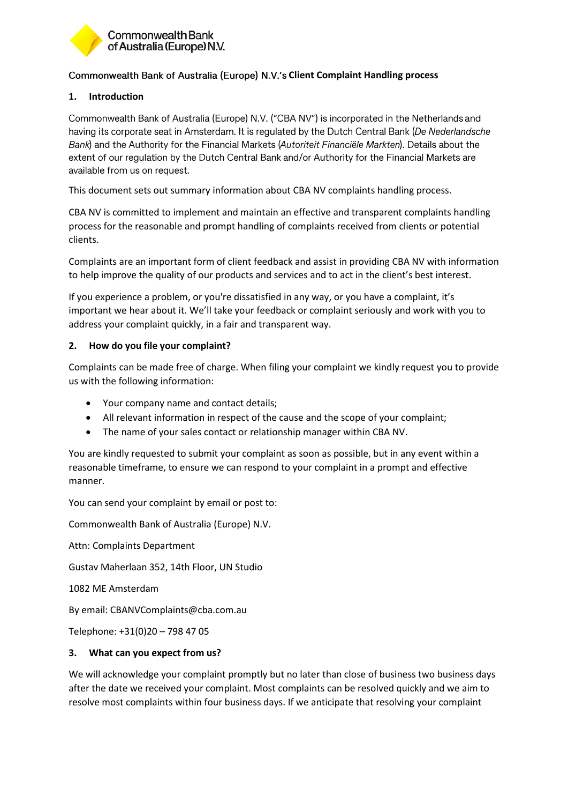

# **Commonwealth Bank of Australia (Europe) N.V.'s Client Complaint Handling process**

# **1. Introduction**

Commonwealth Bank of Australia (Europe) N.V. ("CBA NV") is incorporated in the Netherlands and having its corporate seat in Amsterdam. It is regulated by the Dutch Central Bank (De Nederlandsche Bank) and the Authority for the Financial Markets (Autoriteit Financiële Markten). Details about the extent of our regulation by the Dutch Central Bank and/or Authority for the Financial Markets are available from us on request.

This document sets out summary information about CBA NV complaints handling process.

CBA NV is committed to implement and maintain an effective and transparent complaints handling process for the reasonable and prompt handling of complaints received from clients or potential clients.

Complaints are an important form of client feedback and assist in providing CBA NV with information to help improve the quality of our products and services and to act in the client's best interest.

If you experience a problem, or you're dissatisfied in any way, or you have a complaint, it's important we hear about it. We'll take your feedback or complaint seriously and work with you to address your complaint quickly, in a fair and transparent way.

#### **2. How do you file your complaint?**

Complaints can be made free of charge. When filing your complaint we kindly request you to provide us with the following information:

- Your company name and contact details;
- All relevant information in respect of the cause and the scope of your complaint;
- The name of your sales contact or relationship manager within CBA NV.

You are kindly requested to submit your complaint as soon as possible, but in any event within a reasonable timeframe, to ensure we can respond to your complaint in a prompt and effective manner.

You can send your complaint by email or post to:

Commonwealth Bank of Australia (Europe) N.V.

Attn: Complaints Department

Gustav Maherlaan 352, 14th Floor, UN Studio

1082 ME Amsterdam

By email: CBANVComplaints@cba.com.au

Telephone: +31(0)20 – 798 47 05

#### **3. What can you expect from us?**

We will acknowledge your complaint promptly but no later than close of business two business days after the date we received your complaint. Most complaints can be resolved quickly and we aim to resolve most complaints within four business days. If we anticipate that resolving your complaint